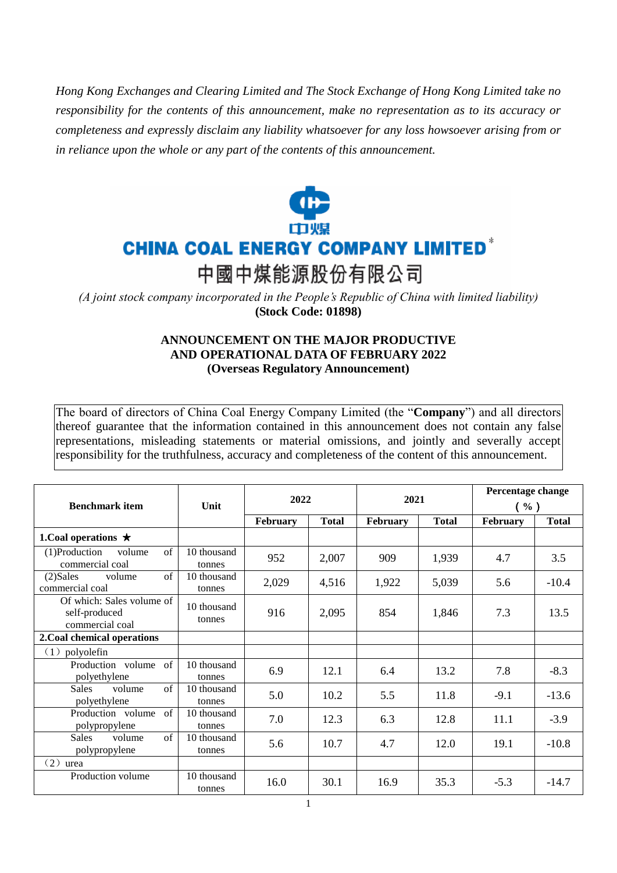*Hong Kong Exchanges and Clearing Limited and The Stock Exchange of Hong Kong Limited take no responsibility for the contents of this announcement, make no representation as to its accuracy or completeness and expressly disclaim any liability whatsoever for any loss howsoever arising from or in reliance upon the whole or any part of the contents of this announcement.*



*(A joint stock company incorporated in the People's Republic of China with limited liability)*  **(Stock Code: 01898)**

## **ANNOUNCEMENT ON THE MAJOR PRODUCTIVE AND OPERATIONAL DATA OF FEBRUARY 2022 (Overseas Regulatory Announcement)**

The board of directors of China Coal Energy Company Limited (the "**Company**") and all directors thereof guarantee that the information contained in this announcement does not contain any false representations, misleading statements or material omissions, and jointly and severally accept responsibility for the truthfulness, accuracy and completeness of the content of this announcement.

| <b>Benchmark item</b>                                         | Unit                  | 2022     |              | 2021     |              | Percentage change<br>$(\%)$ |              |
|---------------------------------------------------------------|-----------------------|----------|--------------|----------|--------------|-----------------------------|--------------|
|                                                               |                       | February | <b>Total</b> | February | <b>Total</b> | <b>February</b>             | <b>Total</b> |
| 1. Coal operations $\star$                                    |                       |          |              |          |              |                             |              |
| $\sigma$ f<br>$(1)$ Production<br>volume<br>commercial coal   | 10 thousand<br>tonnes | 952      | 2,007        | 909      | 1,939        | 4.7                         | 3.5          |
| $\sigma$ f<br>$(2)$ Sales<br>volume<br>commercial coal        | 10 thousand<br>tonnes | 2,029    | 4,516        | 1,922    | 5,039        | 5.6                         | $-10.4$      |
| Of which: Sales volume of<br>self-produced<br>commercial coal | 10 thousand<br>tonnes | 916      | 2,095        | 854      | 1,846        | 7.3                         | 13.5         |
| 2. Coal chemical operations                                   |                       |          |              |          |              |                             |              |
| (1)<br>polyolefin                                             |                       |          |              |          |              |                             |              |
| Production volume<br>of<br>polyethylene                       | 10 thousand<br>tonnes | 6.9      | 12.1         | 6.4      | 13.2         | 7.8                         | $-8.3$       |
| $\sigma$ f<br><b>Sales</b><br>volume<br>polyethylene          | 10 thousand<br>tonnes | 5.0      | 10.2         | 5.5      | 11.8         | $-9.1$                      | $-13.6$      |
| of<br>Production volume<br>polypropylene                      | 10 thousand<br>tonnes | 7.0      | 12.3         | 6.3      | 12.8         | 11.1                        | $-3.9$       |
| $\sigma$ f<br><b>Sales</b><br>volume<br>polypropylene         | 10 thousand<br>tonnes | 5.6      | 10.7         | 4.7      | 12.0         | 19.1                        | $-10.8$      |
| (2)<br>urea                                                   |                       |          |              |          |              |                             |              |
| Production volume                                             | 10 thousand<br>tonnes | 16.0     | 30.1         | 16.9     | 35.3         | $-5.3$                      | $-14.7$      |

1